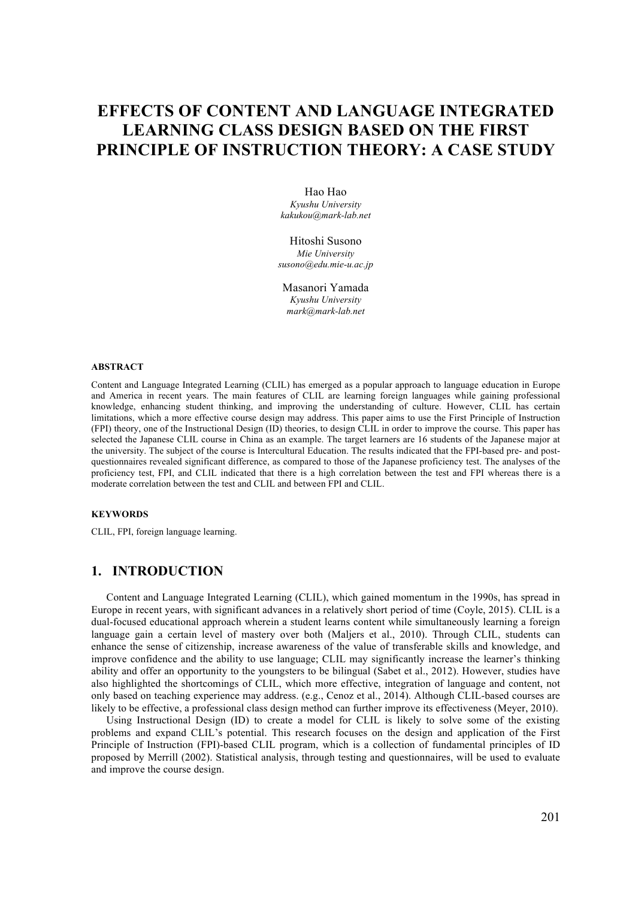# **EFFECTS OF CONTENT AND LANGUAGE INTEGRATED LEARNING CLASS DESIGN BASED ON THE FIRST PRINCIPLE OF INSTRUCTION THEORY: A CASE STUDY**

Hao Hao *Kyushu University kakukou@mark-lab.net* 

Hitoshi Susono *Mie University susono@edu.mie-u.ac.jp* 

Masanori Yamada *Kyushu University mark@mark-lab.net*

#### **ABSTRACT**

Content and Language Integrated Learning (CLIL) has emerged as a popular approach to language education in Europe and America in recent years. The main features of CLIL are learning foreign languages while gaining professional knowledge, enhancing student thinking, and improving the understanding of culture. However, CLIL has certain limitations, which a more effective course design may address. This paper aims to use the First Principle of Instruction (FPI) theory, one of the Instructional Design (ID) theories, to design CLIL in order to improve the course. This paper has selected the Japanese CLIL course in China as an example. The target learners are 16 students of the Japanese major at the university. The subject of the course is Intercultural Education. The results indicated that the FPI-based pre- and postquestionnaires revealed significant difference, as compared to those of the Japanese proficiency test. The analyses of the proficiency test, FPI, and CLIL indicated that there is a high correlation between the test and FPI whereas there is a moderate correlation between the test and CLIL and between FPI and CLIL.

#### **KEYWORDS**

CLIL, FPI, foreign language learning.

## **1. INTRODUCTION**

Content and Language Integrated Learning (CLIL), which gained momentum in the 1990s, has spread in Europe in recent years, with significant advances in a relatively short period of time (Coyle, 2015). CLIL is a dual-focused educational approach wherein a student learns content while simultaneously learning a foreign language gain a certain level of mastery over both (Maljers et al., 2010). Through CLIL, students can enhance the sense of citizenship, increase awareness of the value of transferable skills and knowledge, and improve confidence and the ability to use language; CLIL may significantly increase the learner's thinking ability and offer an opportunity to the youngsters to be bilingual (Sabet et al., 2012). However, studies have also highlighted the shortcomings of CLIL, which more effective, integration of language and content, not only based on teaching experience may address. (e.g., Cenoz et al., 2014). Although CLIL-based courses are likely to be effective, a professional class design method can further improve its effectiveness (Meyer, 2010).

Using Instructional Design (ID) to create a model for CLIL is likely to solve some of the existing problems and expand CLIL's potential. This research focuses on the design and application of the First Principle of Instruction (FPI)-based CLIL program, which is a collection of fundamental principles of ID proposed by Merrill (2002). Statistical analysis, through testing and questionnaires, will be used to evaluate and improve the course design.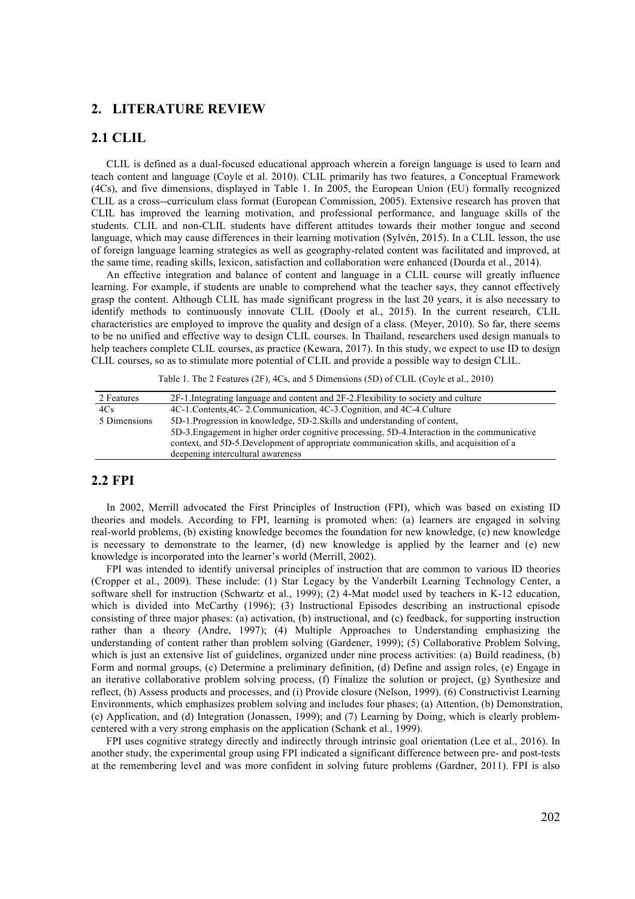### **2. LITERATURE REVIEW**

## **2.1 CLIL**

CLIL is defined as a dual-focused educational approach wherein a foreign language is used to learn and teach content and language (Coyle et al. 2010). CLIL primarily has two features, a Conceptual Framework (4Cs), and five dimensions, displayed in Table 1. In 2005, the European Union (EU) formally recognized CLIL as a cross--curriculum class format (European Commission, 2005). Extensive research has proven that CLIL has improved the learning motivation, and professional performance, and language skills of the students. CLIL and non-CLIL students have different attitudes towards their mother tongue and second language, which may cause differences in their learning motivation (Sylvén, 2015). In a CLIL lesson, the use of foreign language learning strategies as well as geography-related content was facilitated and improved, at the same time, reading skills, lexicon, satisfaction and collaboration were enhanced (Dourda et al., 2014).

An effective integration and balance of content and language in a CLIL course will greatly influence learning. For example, if students are unable to comprehend what the teacher says, they cannot effectively grasp the content. Although CLIL has made significant progress in the last 20 years, it is also necessary to identify methods to continuously innovate CLIL (Dooly et al., 2015). In the current research, CLIL characteristics are employed to improve the quality and design of a class. (Meyer, 2010). So far, there seems to be no unified and effective way to design CLIL courses. In Thailand, researchers used design manuals to help teachers complete CLIL courses, as practice (Kewara, 2017). In this study, we expect to use ID to design CLIL courses, so as to stimulate more potential of CLIL and provide a possible way to design CLIL.

Table 1. The 2 Features (2F), 4Cs, and 5 Dimensions (5D) of CLIL (Coyle et al., 2010)

| 2 Features   | 2F-1. Integrating language and content and 2F-2. Flexibility to society and culture           |  |  |  |  |
|--------------|-----------------------------------------------------------------------------------------------|--|--|--|--|
| 4Cs          | 4C-1.Contents, 4C-2.Communication, 4C-3.Cognition, and 4C-4.Culture                           |  |  |  |  |
| 5 Dimensions | 5D-1. Progression in knowledge, 5D-2. Skills and understanding of content,                    |  |  |  |  |
|              | 5D-3. Engagement in higher order cognitive processing, 5D-4. Interaction in the communicative |  |  |  |  |
|              | context, and 5D-5. Development of appropriate communication skills, and acquisition of a      |  |  |  |  |
|              | deepening intercultural awareness                                                             |  |  |  |  |

## **2.2 FPI**

In 2002, Merrill advocated the First Principles of Instruction (FPI), which was based on existing ID theories and models. According to FPI, learning is promoted when: (a) learners are engaged in solving real-world problems, (b) existing knowledge becomes the foundation for new knowledge, (c) new knowledge is necessary to demonstrate to the learner, (d) new knowledge is applied by the learner and (e) new knowledge is incorporated into the learner's world (Merrill, 2002).

FPI was intended to identify universal principles of instruction that are common to various ID theories (Cropper et al., 2009). These include: (1) Star Legacy by the Vanderbilt Learning Technology Center, a software shell for instruction (Schwartz et al., 1999); (2) 4-Mat model used by teachers in K-12 education, which is divided into McCarthy (1996); (3) Instructional Episodes describing an instructional episode consisting of three major phases: (a) activation, (b) instructional, and (c) feedback, for supporting instruction rather than a theory (Andre, 1997); (4) Multiple Approaches to Understanding emphasizing the understanding of content rather than problem solving (Gardener, 1999); (5) Collaborative Problem Solving, which is just an extensive list of guidelines, organized under nine process activities: (a) Build readiness, (b) Form and normal groups, (c) Determine a preliminary definition, (d) Define and assign roles, (e) Engage in an iterative collaborative problem solving process, (f) Finalize the solution or project, (g) Synthesize and reflect, (h) Assess products and processes, and (i) Provide closure (Nelson, 1999). (6) Constructivist Learning Environments, which emphasizes problem solving and includes four phases; (a) Attention, (b) Demonstration, (c) Application, and (d) Integration (Jonassen, 1999); and (7) Learning by Doing, which is clearly problemcentered with a very strong emphasis on the application (Schank et al., 1999).

FPI uses cognitive strategy directly and indirectly through intrinsic goal orientation (Lee et al., 2016). In another study, the experimental group using FPI indicated a significant difference between pre- and post-tests at the remembering level and was more confident in solving future problems (Gardner, 2011). FPI is also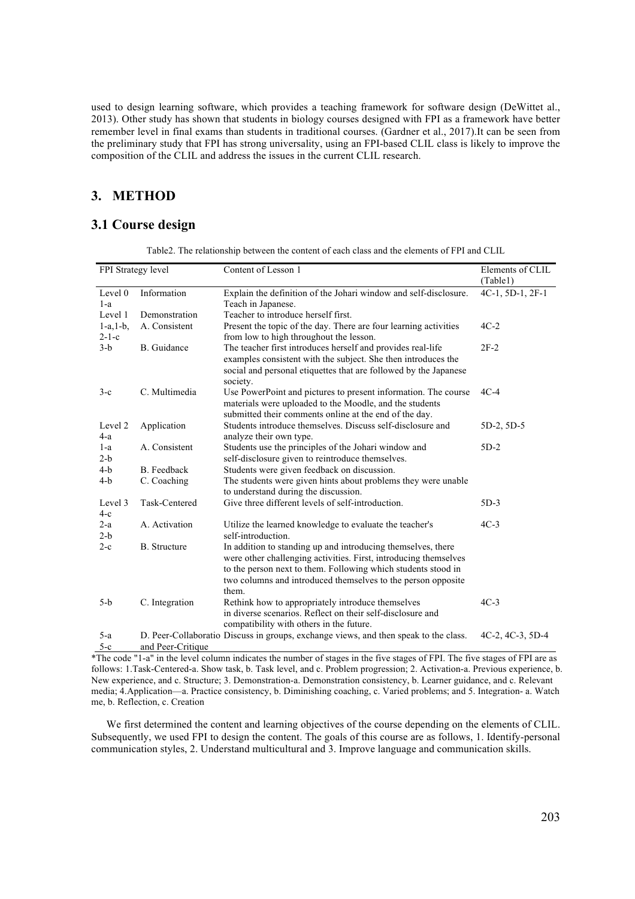used to design learning software, which provides a teaching framework for software design (DeWittet al., 2013). Other study has shown that students in biology courses designed with FPI as a framework have better remember level in final exams than students in traditional courses. (Gardner et al., 2017).It can be seen from the preliminary study that FPI has strong universality, using an FPI-based CLIL class is likely to improve the composition of the CLIL and address the issues in the current CLIL research.

# **3. METHOD**

# **3.1 Course design**

| FPI Strategy level |                     | Content of Lesson 1                                                                  | Elements of CLIL         |  |
|--------------------|---------------------|--------------------------------------------------------------------------------------|--------------------------|--|
|                    |                     |                                                                                      | (Table1)                 |  |
| Level 0            | Information         | Explain the definition of the Johari window and self-disclosure.                     | 4C-1, 5D-1, 2F-1         |  |
| $1-a$              |                     | Teach in Japanese.                                                                   |                          |  |
| Level 1            | Demonstration       | Teacher to introduce herself first.                                                  |                          |  |
| $1-a, 1-b,$        | A. Consistent       | Present the topic of the day. There are four learning activities                     | $4C-2$                   |  |
| $2 - 1 - c$        |                     | from low to high throughout the lesson.                                              |                          |  |
| $3-b$              | <b>B.</b> Guidance  | The teacher first introduces herself and provides real-life                          | $2F-2$                   |  |
|                    |                     | examples consistent with the subject. She then introduces the                        |                          |  |
|                    |                     | social and personal etiquettes that are followed by the Japanese                     |                          |  |
|                    |                     | society.                                                                             |                          |  |
| $3-c$              | C. Multimedia       | Use PowerPoint and pictures to present information. The course                       | $4C-4$                   |  |
|                    |                     | materials were uploaded to the Moodle, and the students                              |                          |  |
|                    |                     | submitted their comments online at the end of the day.                               |                          |  |
| Level 2            | Application         | Students introduce themselves. Discuss self-disclosure and                           | 5D-2, 5D-5               |  |
| $4-a$              |                     | analyze their own type.                                                              |                          |  |
| $1-a$              | A. Consistent       | Students use the principles of the Johari window and                                 | $5D-2$                   |  |
| $2-b$              |                     | self-disclosure given to reintroduce themselves.                                     |                          |  |
| $4-b$              | B. Feedback         | Students were given feedback on discussion.                                          |                          |  |
| $4-b$              | C. Coaching         | The students were given hints about problems they were unable                        |                          |  |
|                    |                     | to understand during the discussion.                                                 |                          |  |
| Level 3            | Task-Centered       | Give three different levels of self-introduction.                                    | $5D-3$                   |  |
| $4-c$              |                     |                                                                                      |                          |  |
| $2-a$              | A. Activation       | Utilize the learned knowledge to evaluate the teacher's                              | $4C-3$                   |  |
| $2-b$              |                     | self-introduction.                                                                   |                          |  |
| $2-c$              | <b>B.</b> Structure | In addition to standing up and introducing themselves, there                         |                          |  |
|                    |                     | were other challenging activities. First, introducing themselves                     |                          |  |
|                    |                     | to the person next to them. Following which students stood in                        |                          |  |
|                    |                     | two columns and introduced themselves to the person opposite                         |                          |  |
|                    |                     | them.                                                                                |                          |  |
| $5-b$              | C. Integration      | Rethink how to appropriately introduce themselves                                    | $4C-3$                   |  |
|                    |                     | in diverse scenarios. Reflect on their self-disclosure and                           |                          |  |
|                    |                     | compatibility with others in the future.                                             |                          |  |
| $5-a$              |                     | D. Peer-Collaboratio Discuss in groups, exchange views, and then speak to the class. | $4C-2$ , $4C-3$ , $5D-4$ |  |
| $5-c$              | and Peer-Critique   |                                                                                      |                          |  |

Table2. The relationship between the content of each class and the elements of FPI and CLIL

\*The code "1-a" in the level column indicates the number of stages in the five stages of FPI. The five stages of FPI are as follows: 1.Task-Centered-a. Show task, b. Task level, and c. Problem progression; 2. Activation-a. Previous experience, b. New experience, and c. Structure; 3. Demonstration-a. Demonstration consistency, b. Learner guidance, and c. Relevant media; 4.Application—a. Practice consistency, b. Diminishing coaching, c. Varied problems; and 5. Integration- a. Watch me, b. Reflection, c. Creation

We first determined the content and learning objectives of the course depending on the elements of CLIL. Subsequently, we used FPI to design the content. The goals of this course are as follows, 1. Identify-personal communication styles, 2. Understand multicultural and 3. Improve language and communication skills.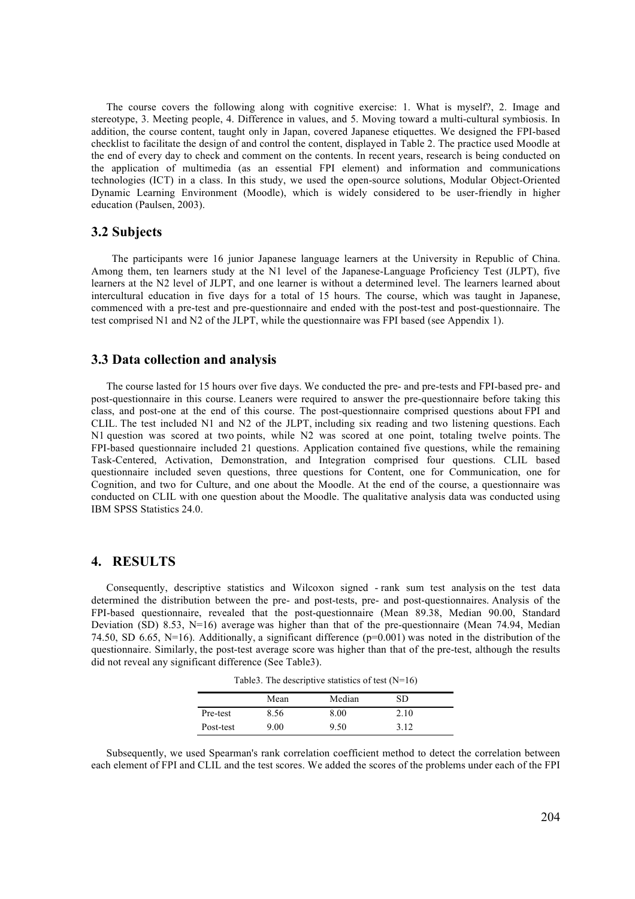The course covers the following along with cognitive exercise: 1. What is myself?, 2. Image and stereotype, 3. Meeting people, 4. Difference in values, and 5. Moving toward a multi-cultural symbiosis. In addition, the course content, taught only in Japan, covered Japanese etiquettes. We designed the FPI-based checklist to facilitate the design of and control the content, displayed in Table 2. The practice used Moodle at the end of every day to check and comment on the contents. In recent years, research is being conducted on the application of multimedia (as an essential FPI element) and information and communications technologies (ICT) in a class. In this study, we used the open-source solutions, Modular Object-Oriented Dynamic Learning Environment (Moodle), which is widely considered to be user-friendly in higher education (Paulsen, 2003).

### **3.2 Subjects**

The participants were 16 junior Japanese language learners at the University in Republic of China. Among them, ten learners study at the N1 level of the Japanese-Language Proficiency Test (JLPT), five learners at the N2 level of JLPT, and one learner is without a determined level. The learners learned about intercultural education in five days for a total of 15 hours. The course, which was taught in Japanese, commenced with a pre-test and pre-questionnaire and ended with the post-test and post-questionnaire. The test comprised N1 and N2 of the JLPT, while the questionnaire was FPI based (see Appendix 1).

#### **3.3 Data collection and analysis**

The course lasted for 15 hours over five days. We conducted the pre- and pre-tests and FPI-based pre- and post-questionnaire in this course. Leaners were required to answer the pre-questionnaire before taking this class, and post-one at the end of this course. The post-questionnaire comprised questions about FPI and CLIL. The test included N1 and N2 of the JLPT, including six reading and two listening questions. Each N1 question was scored at two points, while N2 was scored at one point, totaling twelve points. The FPI-based questionnaire included 21 questions. Application contained five questions, while the remaining Task-Centered, Activation, Demonstration, and Integration comprised four questions. CLIL based questionnaire included seven questions, three questions for Content, one for Communication, one for Cognition, and two for Culture, and one about the Moodle. At the end of the course, a questionnaire was conducted on CLIL with one question about the Moodle. The qualitative analysis data was conducted using IBM SPSS Statistics 24.0.

### **4. RESULTS**

Consequently, descriptive statistics and Wilcoxon signed - rank sum test analysis on the test data determined the distribution between the pre- and post-tests, pre- and post-questionnaires. Analysis of the FPI-based questionnaire, revealed that the post-questionnaire (Mean 89.38, Median 90.00, Standard Deviation (SD) 8.53, N=16) average was higher than that of the pre-questionnaire (Mean 74.94, Median 74.50, SD 6.65, N=16). Additionally, a significant difference  $(p=0.001)$  was noted in the distribution of the questionnaire. Similarly, the post-test average score was higher than that of the pre-test, although the results did not reveal any significant difference (See Table3).

Table3. The descriptive statistics of test (N=16)

|           | Mean | Median | SD   |  |
|-----------|------|--------|------|--|
| Pre-test  | 8.56 | 8.00   | 2.10 |  |
| Post-test | 9.00 | 9.50   | 3.12 |  |

Subsequently, we used Spearman's rank correlation coefficient method to detect the correlation between each element of FPI and CLIL and the test scores. We added the scores of the problems under each of the FPI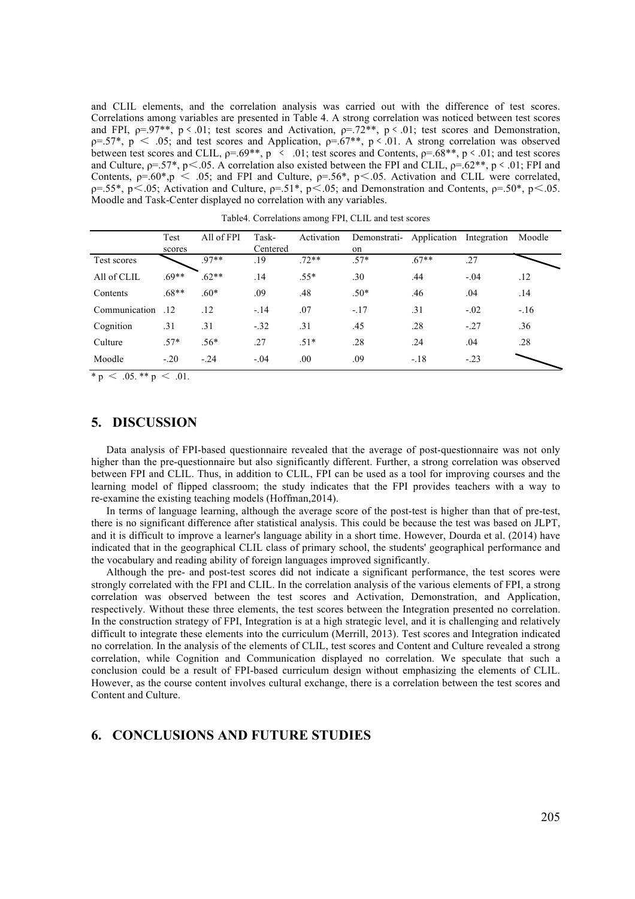and CLIL elements, and the correlation analysis was carried out with the difference of test scores. Correlations among variables are presented in Table 4. A strong correlation was noticed between test scores and FPI,  $p=.97**$ ,  $p < .01$ ; test scores and Activation,  $p=.72**$ ,  $p < .01$ ; test scores and Demonstration,  $p=.57^*$ ,  $p < .05$ ; and test scores and Application,  $p=.67^{**}$ ,  $p < .01$ . A strong correlation was observed between test scores and CLIL,  $p=.69**$ ,  $p \lt .01$ ; test scores and Contents,  $p=.68**$ ,  $p \lt .01$ ; and test scores and Culture,  $p=.57^*$ ,  $p\leq .05$ . A correlation also existed between the FPI and CLIL,  $p=.62^{**}$ ,  $p\leq .01$ ; FPI and Contents,  $p=.60^*$ ,  $p \le .05$ ; and FPI and Culture,  $p=.56^*$ ,  $p \le .05$ . Activation and CLIL were correlated,  $p=0.55^*$ , p<.05; Activation and Culture,  $p=0.51^*$ , p<.05; and Demonstration and Contents,  $p=0.50^*$ , p<.05. Moodle and Task-Center displayed no correlation with any variables.

|               | Test<br>scores | All of FPI | Task-<br>Centered | Activation | Demonstrati- Application<br>on |         | Integration | Moodle |
|---------------|----------------|------------|-------------------|------------|--------------------------------|---------|-------------|--------|
| Test scores   |                | $97**$     | .19               | $.72**$    | $.57*$                         | $.67**$ | .27         |        |
| All of CLIL   | $69**$         | $.62**$    | .14               | $.55*$     | .30                            | .44     | $-.04$      | .12    |
| Contents      | $.68**$        | $.60*$     | .09               | .48        | $.50*$                         | .46     | .04         | .14    |
| Communication | .12            | .12        | $-.14$            | .07        | $-.17$                         | .31     | $-.02$      | $-.16$ |
| Cognition     | .31            | .31        | $-.32$            | .31        | .45                            | .28     | $-.27$      | .36    |
| Culture       | $.57*$         | $.56*$     | .27               | $.51*$     | .28                            | .24     | .04         | .28    |
| Moodle        | $-.20$         | $-24$      | $-.04$            | .00        | .09                            | $-.18$  | $-.23$      |        |

Table4. Correlations among FPI, CLIL and test scores

\* p  $\lt$  .05. \*\* p  $\lt$  .01.

#### **5. DISCUSSION**

Data analysis of FPI-based questionnaire revealed that the average of post-questionnaire was not only higher than the pre-questionnaire but also significantly different. Further, a strong correlation was observed between FPI and CLIL. Thus, in addition to CLIL, FPI can be used as a tool for improving courses and the learning model of flipped classroom; the study indicates that the FPI provides teachers with a way to re-examine the existing teaching models (Hoffman,2014).

In terms of language learning, although the average score of the post-test is higher than that of pre-test, there is no significant difference after statistical analysis. This could be because the test was based on JLPT, and it is difficult to improve a learner's language ability in a short time. However, Dourda et al. (2014) have indicated that in the geographical CLIL class of primary school, the students' geographical performance and the vocabulary and reading ability of foreign languages improved significantly.

Although the pre- and post-test scores did not indicate a significant performance, the test scores were strongly correlated with the FPI and CLIL. In the correlation analysis of the various elements of FPI, a strong correlation was observed between the test scores and Activation, Demonstration, and Application, respectively. Without these three elements, the test scores between the Integration presented no correlation. In the construction strategy of FPI, Integration is at a high strategic level, and it is challenging and relatively difficult to integrate these elements into the curriculum (Merrill, 2013). Test scores and Integration indicated no correlation. In the analysis of the elements of CLIL, test scores and Content and Culture revealed a strong correlation, while Cognition and Communication displayed no correlation. We speculate that such a conclusion could be a result of FPI-based curriculum design without emphasizing the elements of CLIL. However, as the course content involves cultural exchange, there is a correlation between the test scores and Content and Culture.

## **6. CONCLUSIONS AND FUTURE STUDIES**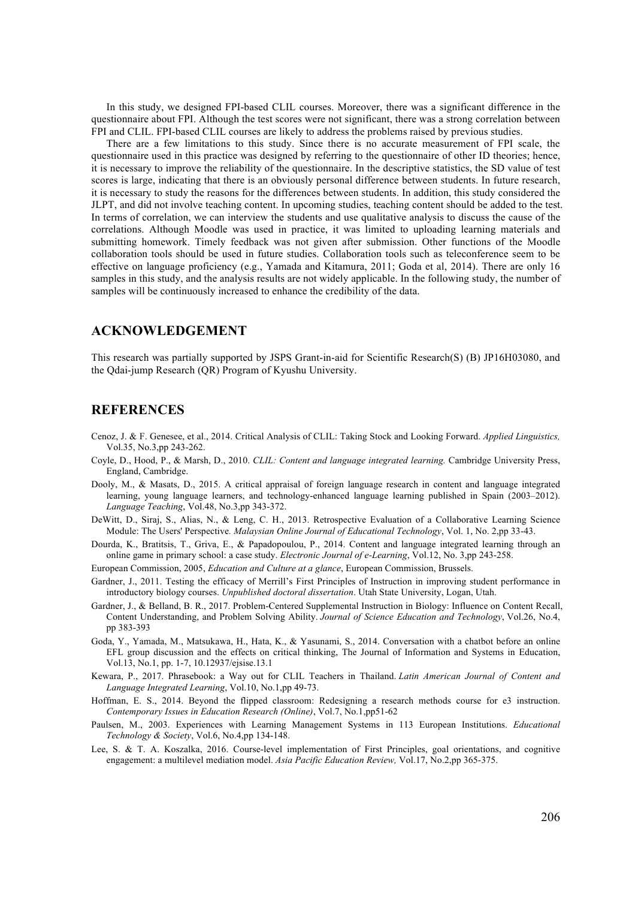In this study, we designed FPI-based CLIL courses. Moreover, there was a significant difference in the questionnaire about FPI. Although the test scores were not significant, there was a strong correlation between FPI and CLIL. FPI-based CLIL courses are likely to address the problems raised by previous studies.

There are a few limitations to this study. Since there is no accurate measurement of FPI scale, the questionnaire used in this practice was designed by referring to the questionnaire of other ID theories; hence, it is necessary to improve the reliability of the questionnaire. In the descriptive statistics, the SD value of test scores is large, indicating that there is an obviously personal difference between students. In future research, it is necessary to study the reasons for the differences between students. In addition, this study considered the JLPT, and did not involve teaching content. In upcoming studies, teaching content should be added to the test. In terms of correlation, we can interview the students and use qualitative analysis to discuss the cause of the correlations. Although Moodle was used in practice, it was limited to uploading learning materials and submitting homework. Timely feedback was not given after submission. Other functions of the Moodle collaboration tools should be used in future studies. Collaboration tools such as teleconference seem to be effective on language proficiency (e.g., Yamada and Kitamura, 2011; Goda et al, 2014). There are only 16 samples in this study, and the analysis results are not widely applicable. In the following study, the number of samples will be continuously increased to enhance the credibility of the data.

## **ACKNOWLEDGEMENT**

This research was partially supported by JSPS Grant-in-aid for Scientific Research(S) (B) JP16H03080, and the Qdai-jump Research (QR) Program of Kyushu University.

## **REFERENCES**

- Cenoz, J. & F. Genesee, et al., 2014. Critical Analysis of CLIL: Taking Stock and Looking Forward. *Applied Linguistics,* Vol.35, No.3,pp 243-262.
- Coyle, D., Hood, P., & Marsh, D., 2010. *CLIL: Content and language integrated learning.* Cambridge University Press, England, Cambridge.
- Dooly, M., & Masats, D., 2015. A critical appraisal of foreign language research in content and language integrated learning, young language learners, and technology-enhanced language learning published in Spain (2003–2012). *Language Teaching*, Vol.48, No.3,pp 343-372.
- DeWitt, D., Siraj, S., Alias, N., & Leng, C. H., 2013. Retrospective Evaluation of a Collaborative Learning Science Module: The Users' Perspective*. Malaysian Online Journal of Educational Technology*, Vol. 1, No. 2,pp 33-43.
- Dourda, K., Bratitsis, T., Griva, E., & Papadopoulou, P., 2014. Content and language integrated learning through an online game in primary school: a case study. *Electronic Journal of e-Learning*, Vol.12, No. 3,pp 243-258.
- European Commission, 2005, *Education and Culture at a glance*, European Commission, Brussels.
- Gardner, J., 2011. Testing the efficacy of Merrill's First Principles of Instruction in improving student performance in introductory biology courses. *Unpublished doctoral dissertation*. Utah State University, Logan, Utah.
- Gardner, J., & Belland, B. R., 2017. Problem-Centered Supplemental Instruction in Biology: Influence on Content Recall, Content Understanding, and Problem Solving Ability. *Journal of Science Education and Technology*, Vol.26, No.4, pp 383-393
- Goda, Y., Yamada, M., Matsukawa, H., Hata, K., & Yasunami, S., 2014. Conversation with a chatbot before an online EFL group discussion and the effects on critical thinking, The Journal of Information and Systems in Education, Vol.13, No.1, pp. 1-7, 10.12937/ejsise.13.1
- Kewara, P., 2017. Phrasebook: a Way out for CLIL Teachers in Thailand. *Latin American Journal of Content and Language Integrated Learning*, Vol.10, No.1,pp 49-73.
- Hoffman, E. S., 2014. Beyond the flipped classroom: Redesigning a research methods course for e3 instruction. *Contemporary Issues in Education Research (Online)*, Vol.7, No.1,pp51-62
- Paulsen, M., 2003. Experiences with Learning Management Systems in 113 European Institutions. *Educational Technology & Society*, Vol.6, No.4,pp 134-148.
- Lee, S. & T. A. Koszalka, 2016. Course-level implementation of First Principles, goal orientations, and cognitive engagement: a multilevel mediation model. *Asia Pacific Education Review,* Vol.17, No.2,pp 365-375.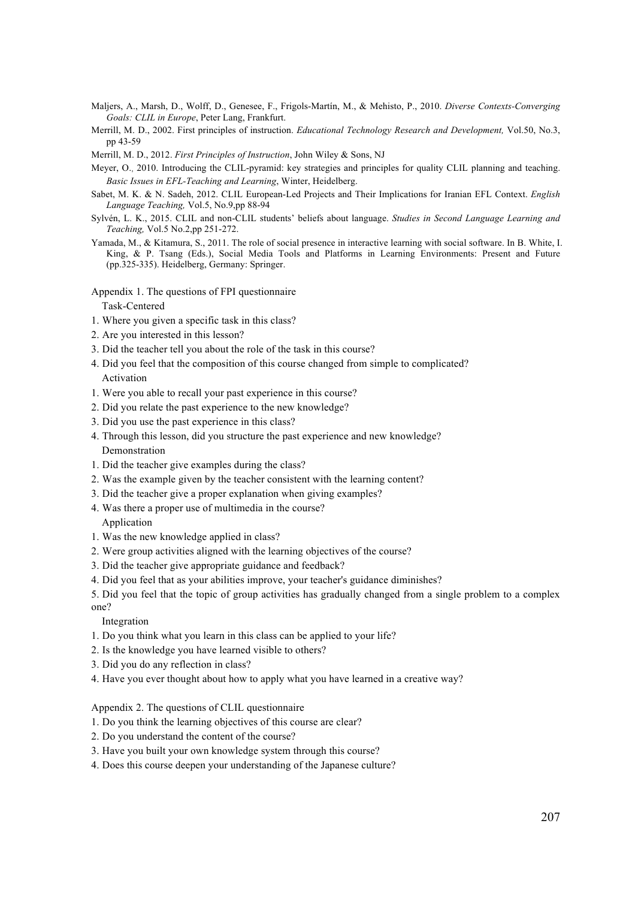- Maljers, A., Marsh, D., Wolff, D., Genesee, F., Frigols-Martín, M., & Mehisto, P., 2010. *Diverse Contexts-Converging Goals: CLIL in Europe*, Peter Lang, Frankfurt.
- Merrill, M. D., 2002. First principles of instruction. *Educational Technology Research and Development,* Vol.50, No.3, pp 43-59
- Merrill, M. D., 2012. *First Principles of Instruction*, John Wiley & Sons, NJ
- Meyer, O., 2010. Introducing the CLIL-pyramid: key strategies and principles for quality CLIL planning and teaching. *Basic Issues in EFL-Teaching and Learning*, Winter, Heidelberg.
- Sabet, M. K. & N. Sadeh, 2012. CLIL European-Led Projects and Their Implications for Iranian EFL Context. *English Language Teaching,* Vol.5, No.9,pp 88-94
- Sylvén, L. K., 2015. CLIL and non-CLIL students' beliefs about language. *Studies in Second Language Learning and Teaching,* Vol.5 No.2,pp 251-272.
- Yamada, M., & Kitamura, S., 2011. The role of social presence in interactive learning with social software. In B. White, I. King, & P. Tsang (Eds.), Social Media Tools and Platforms in Learning Environments: Present and Future (pp.325-335). Heidelberg, Germany: Springer.

Appendix 1. The questions of FPI questionnaire Task-Centered

- 1. Where you given a specific task in this class?
- 2. Are you interested in this lesson?
- 3. Did the teacher tell you about the role of the task in this course?
- 4. Did you feel that the composition of this course changed from simple to complicated? Activation
- 1. Were you able to recall your past experience in this course?
- 2. Did you relate the past experience to the new knowledge?
- 3. Did you use the past experience in this class?
- 4. Through this lesson, did you structure the past experience and new knowledge? Demonstration
- 1. Did the teacher give examples during the class?
- 2. Was the example given by the teacher consistent with the learning content?
- 3. Did the teacher give a proper explanation when giving examples?
- 4. Was there a proper use of multimedia in the course? Application
- 1. Was the new knowledge applied in class?
- 2. Were group activities aligned with the learning objectives of the course?
- 3. Did the teacher give appropriate guidance and feedback?
- 4. Did you feel that as your abilities improve, your teacher's guidance diminishes?

5. Did you feel that the topic of group activities has gradually changed from a single problem to a complex one?

#### Integration

- 1. Do you think what you learn in this class can be applied to your life?
- 2. Is the knowledge you have learned visible to others?
- 3. Did you do any reflection in class?
- 4. Have you ever thought about how to apply what you have learned in a creative way?

Appendix 2. The questions of CLIL questionnaire

- 1. Do you think the learning objectives of this course are clear?
- 2. Do you understand the content of the course?
- 3. Have you built your own knowledge system through this course?
- 4. Does this course deepen your understanding of the Japanese culture?